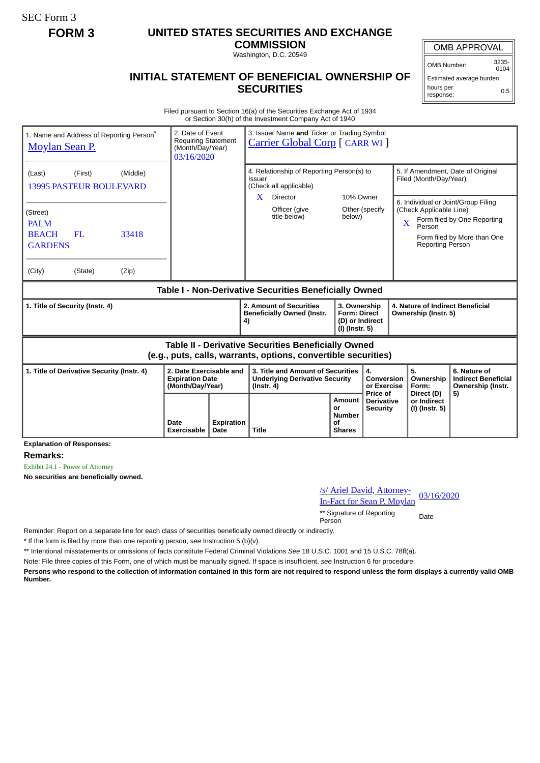SEC Form 3

## **FORM 3 UNITED STATES SECURITIES AND EXCHANGE**

**COMMISSION** Washington, D.C. 20549

OMB APPROVAL

OMB Number: 3235-  $0104$ 

Estimated average burden hours per response: 0.5

## **INITIAL STATEMENT OF BENEFICIAL OWNERSHIP OF SECURITIES**

Filed pursuant to Section 16(a) of the Securities Exchange Act of 1934 or Section 30(h) of the Investment Company Act of 1940

| 1. Name and Address of Reporting Person <sup>®</sup><br><b>Moylan Sean P.</b>                                                | 2. Date of Event<br><b>Requiring Statement</b><br>(Month/Day/Year)<br>03/16/2020 |  | 3. Issuer Name and Ticker or Trading Symbol<br><b>Carrier Global Corp</b> [ CARR WI ]                |                                                                          |                                       |                                                                                                          |                                                                 |  |
|------------------------------------------------------------------------------------------------------------------------------|----------------------------------------------------------------------------------|--|------------------------------------------------------------------------------------------------------|--------------------------------------------------------------------------|---------------------------------------|----------------------------------------------------------------------------------------------------------|-----------------------------------------------------------------|--|
| (Middle)<br>(First)<br>(Last)<br><b>13995 PASTEUR BOULEVARD</b>                                                              |                                                                                  |  | 4. Relationship of Reporting Person(s) to<br>Issuer<br>(Check all applicable)                        |                                                                          |                                       | 5. If Amendment, Date of Original<br>Filed (Month/Day/Year)                                              |                                                                 |  |
| (Street)<br><b>PALM</b><br><b>BEACH</b><br>33418<br><b>FL</b><br><b>GARDENS</b><br>(City)<br>(State)<br>(Zip)                |                                                                                  |  | Director<br>X<br>Officer (give<br>title below)                                                       | 10% Owner<br>below)                                                      | Other (specify                        | 6. Individual or Joint/Group Filing<br>(Check Applicable Line)<br>X<br>Person<br><b>Reporting Person</b> | Form filed by One Reporting<br>Form filed by More than One      |  |
| Table I - Non-Derivative Securities Beneficially Owned                                                                       |                                                                                  |  |                                                                                                      |                                                                          |                                       |                                                                                                          |                                                                 |  |
| 1. Title of Security (Instr. 4)                                                                                              |                                                                                  |  | 2. Amount of Securities<br><b>Beneficially Owned (Instr.</b><br>4)                                   | 3. Ownership<br><b>Form: Direct</b><br>(D) or Indirect<br>(I) (Instr. 5) |                                       | 4. Nature of Indirect Beneficial<br>Ownership (Instr. 5)                                                 |                                                                 |  |
| <b>Table II - Derivative Securities Beneficially Owned</b><br>(e.g., puts, calls, warrants, options, convertible securities) |                                                                                  |  |                                                                                                      |                                                                          |                                       |                                                                                                          |                                                                 |  |
| 1. Title of Derivative Security (Instr. 4)<br>2. Date Exercisable and<br><b>Expiration Date</b><br>(Month/Day/Year)          |                                                                                  |  | 3. Title and Amount of Securities<br>4.<br><b>Underlying Derivative Security</b><br>$($ lnstr. 4 $)$ |                                                                          | Conversion<br>or Exercise<br>Price of | 5.<br>Ownership<br>Form:                                                                                 | 6. Nature of<br><b>Indirect Beneficial</b><br>Ownership (Instr. |  |
|                                                                                                                              |                                                                                  |  |                                                                                                      | Amount                                                                   | <b>Derivative</b>                     | Direct (D)<br>or Indirect                                                                                | 5)                                                              |  |

**Explanation of Responses:**

**Remarks:**

Exhibit 24.1 - Power of Attorney

**No securities are beneficially owned.**

| /s/ Ariel David, Attorney-<br><b>In-Fact for Sean P. Moylan</b> | 03/16/2020 |
|-----------------------------------------------------------------|------------|
| ** Signature of Reporting<br>Person                             | Date       |

Reminder: Report on a separate line for each class of securities beneficially owned directly or indirectly.

\* If the form is filed by more than one reporting person, *see* Instruction 5 (b)(v).

\*\* Intentional misstatements or omissions of facts constitute Federal Criminal Violations *See* 18 U.S.C. 1001 and 15 U.S.C. 78ff(a).

Note: File three copies of this Form, one of which must be manually signed. If space is insufficient, *see* Instruction 6 for procedure.

**Persons who respond to the collection of information contained in this form are not required to respond unless the form displays a currently valid OMB Number.**